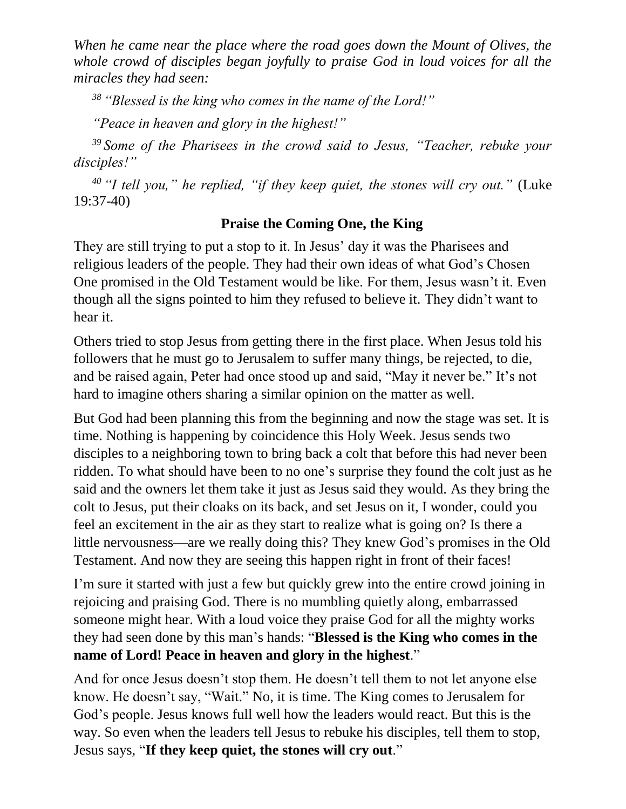*When he came near the place where the road goes down the Mount of Olives, the whole crowd of disciples began joyfully to praise God in loud voices for all the miracles they had seen:* 

*<sup>38</sup> "Blessed is the king who comes in the name of the Lord!"*

*"Peace in heaven and glory in the highest!"* 

*<sup>39</sup> Some of the Pharisees in the crowd said to Jesus, "Teacher, rebuke your disciples!"* 

*<sup>40</sup> "I tell you," he replied, "if they keep quiet, the stones will cry out."* (Luke 19:37-40)

## **Praise the Coming One, the King**

They are still trying to put a stop to it. In Jesus' day it was the Pharisees and religious leaders of the people. They had their own ideas of what God's Chosen One promised in the Old Testament would be like. For them, Jesus wasn't it. Even though all the signs pointed to him they refused to believe it. They didn't want to hear it.

Others tried to stop Jesus from getting there in the first place. When Jesus told his followers that he must go to Jerusalem to suffer many things, be rejected, to die, and be raised again, Peter had once stood up and said, "May it never be." It's not hard to imagine others sharing a similar opinion on the matter as well.

But God had been planning this from the beginning and now the stage was set. It is time. Nothing is happening by coincidence this Holy Week. Jesus sends two disciples to a neighboring town to bring back a colt that before this had never been ridden. To what should have been to no one's surprise they found the colt just as he said and the owners let them take it just as Jesus said they would. As they bring the colt to Jesus, put their cloaks on its back, and set Jesus on it, I wonder, could you feel an excitement in the air as they start to realize what is going on? Is there a little nervousness—are we really doing this? They knew God's promises in the Old Testament. And now they are seeing this happen right in front of their faces!

I'm sure it started with just a few but quickly grew into the entire crowd joining in rejoicing and praising God. There is no mumbling quietly along, embarrassed someone might hear. With a loud voice they praise God for all the mighty works they had seen done by this man's hands: "**Blessed is the King who comes in the name of Lord! Peace in heaven and glory in the highest**."

And for once Jesus doesn't stop them. He doesn't tell them to not let anyone else know. He doesn't say, "Wait." No, it is time. The King comes to Jerusalem for God's people. Jesus knows full well how the leaders would react. But this is the way. So even when the leaders tell Jesus to rebuke his disciples, tell them to stop, Jesus says, "**If they keep quiet, the stones will cry out**."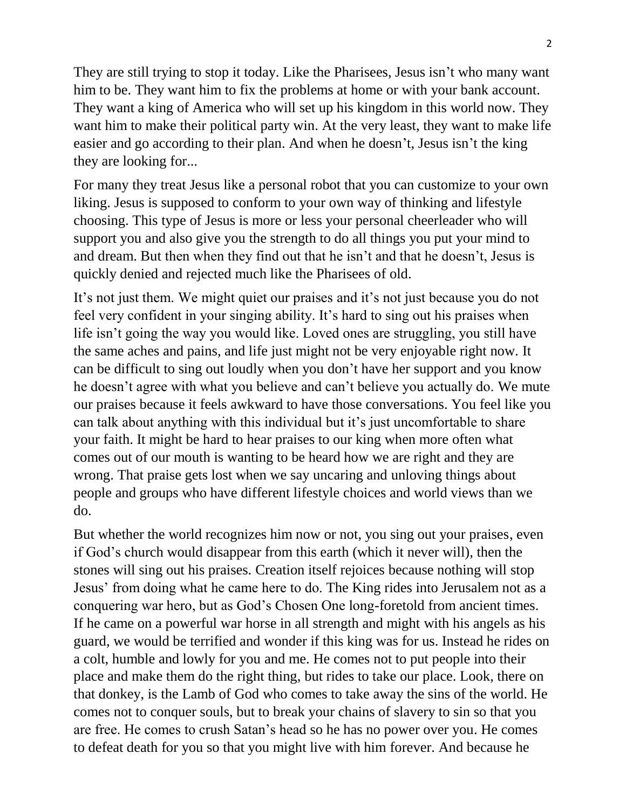They are still trying to stop it today. Like the Pharisees, Jesus isn't who many want him to be. They want him to fix the problems at home or with your bank account. They want a king of America who will set up his kingdom in this world now. They want him to make their political party win. At the very least, they want to make life easier and go according to their plan. And when he doesn't, Jesus isn't the king they are looking for...

For many they treat Jesus like a personal robot that you can customize to your own liking. Jesus is supposed to conform to your own way of thinking and lifestyle choosing. This type of Jesus is more or less your personal cheerleader who will support you and also give you the strength to do all things you put your mind to and dream. But then when they find out that he isn't and that he doesn't, Jesus is quickly denied and rejected much like the Pharisees of old.

It's not just them. We might quiet our praises and it's not just because you do not feel very confident in your singing ability. It's hard to sing out his praises when life isn't going the way you would like. Loved ones are struggling, you still have the same aches and pains, and life just might not be very enjoyable right now. It can be difficult to sing out loudly when you don't have her support and you know he doesn't agree with what you believe and can't believe you actually do. We mute our praises because it feels awkward to have those conversations. You feel like you can talk about anything with this individual but it's just uncomfortable to share your faith. It might be hard to hear praises to our king when more often what comes out of our mouth is wanting to be heard how we are right and they are wrong. That praise gets lost when we say uncaring and unloving things about people and groups who have different lifestyle choices and world views than we do.

But whether the world recognizes him now or not, you sing out your praises, even if God's church would disappear from this earth (which it never will), then the stones will sing out his praises. Creation itself rejoices because nothing will stop Jesus' from doing what he came here to do. The King rides into Jerusalem not as a conquering war hero, but as God's Chosen One long-foretold from ancient times. If he came on a powerful war horse in all strength and might with his angels as his guard, we would be terrified and wonder if this king was for us. Instead he rides on a colt, humble and lowly for you and me. He comes not to put people into their place and make them do the right thing, but rides to take our place. Look, there on that donkey, is the Lamb of God who comes to take away the sins of the world. He comes not to conquer souls, but to break your chains of slavery to sin so that you are free. He comes to crush Satan's head so he has no power over you. He comes to defeat death for you so that you might live with him forever. And because he